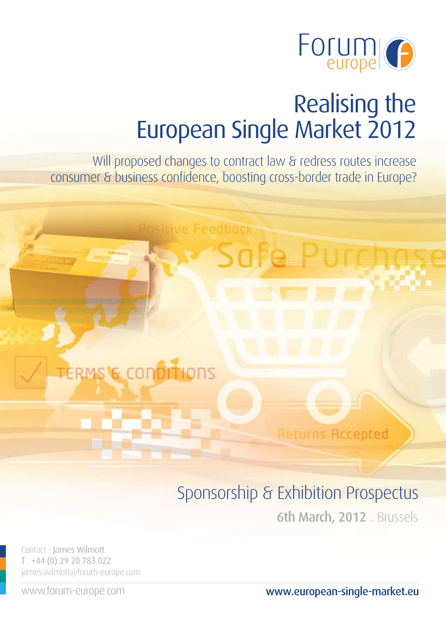

Will proposed changes to contract law & redress routes increase consumer & business confidence, boosting cross-border trade in Europe?

**Illive Feedback** 

**ERMS'E CONDITIONS** 

**Returns Accepted** 

# Sponsorship & Exhibition Prospectus

6th March, 2012 . Brussels

Contact - James Wilmott T . +44 (0) 29 20 783 022 james.wilmott@forum-europe.com

www.forum-europe.com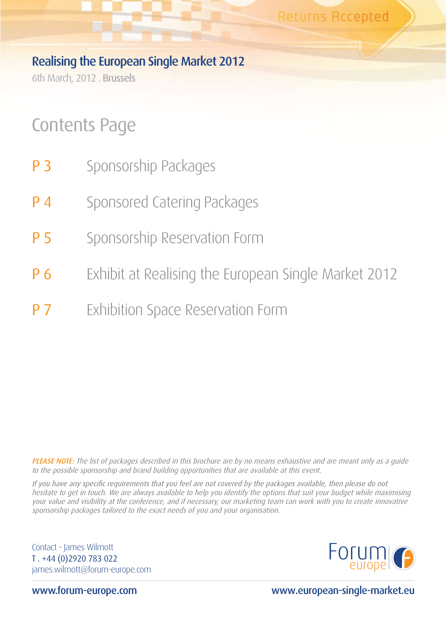6th March, 2012 . Brussels

# Contents Page

- **P 3** Sponsorship Packages
- **P 4** Sponsored Catering Packages
- **P 5** Sponsorship Reservation Form
- **P 6** Exhibit at Realising the European Single Market 2012
- **P 7** Exhibition Space Reservation Form

PLEASE NOTE: The list of packages described in this brochure are by no means exhaustive and are meant only as a quide to the possible sponsorship and brand building opportunities that are available at this event.

If you have any specific requirements that you feel are not covered by the packages available, then please do not hesitate to get in touch. We are always available to help you identify the options that suit your budget while maximising your value and visibility at the conference, and if necessary, our marketing team can work with you to create innovative sponsorship packages tailored to the exact needs of you and your organisation.

Contact - James Wilmott T . +44 (0)2920 783 022 james.wilmott@forum-europe.com



www.forum-europe.com www.european-single-market.eu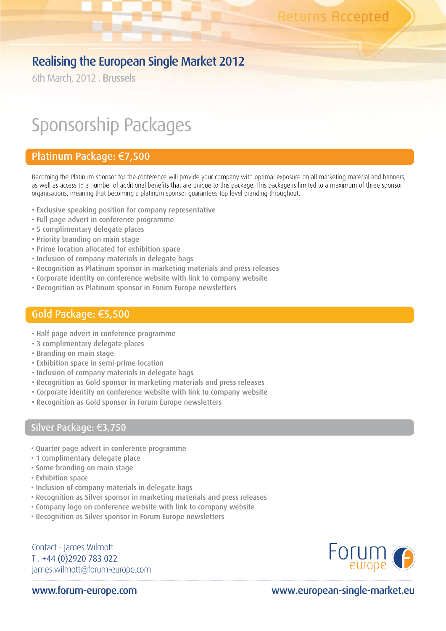6th March, 2012 . Brussels

# Sponsorship Packages

## Platinum Package: €7,500

Becoming the Platinum sponsor for the conference will provide your company with optimal exposure on all marketing material and banners, as well as access to a number of additional benefits that are unique to this package. This package is limited to a maximum of three sponsor organisations, meaning that becoming a platinum sponsor guarantees top level branding throughout.

- Exclusive speaking position for company representative
- Full page advert in conference programme
- 5 complimentary delegate places
- Priority branding on main stage
- Prime location allocated for exhibition space
- Inclusion of company materials in delegate bags
- Recognition as Platinum sponsor in marketing materials and press releases
- Corporate identity on conference website with link to company website
- Recognition as Platinum sponsor in Forum Europe newsletters

### Gold Package: €5,500

- Half page advert in conference programme
- 3 complimentary delegate places
- Branding on main stage
- Exhibition space in semi-prime location
- Inclusion of company materials in delegate bags
- Recognition as Gold sponsor in marketing materials and press releases
- Corporate identity on conference website with link to company website
- Recognition as Gold sponsor in Forum Europe newsletters

## Silver Package: €3,750

- Quarter page advert in conference programme
- 1 complimentary delegate place
- Some branding on main stage
- Exhibition space
- Inclusion of company materials in delegate bags
- Recognition as Silver sponsor in marketing materials and press releases
- Company logo on conference website with link to company website
- Recognition as Silver sponsor in Forum Europe newsletters

Contact - James Wilmott T . +44 (0)2920 783 022 james.wilmott@forum-europe.com

www.forum-europe.com

# Forum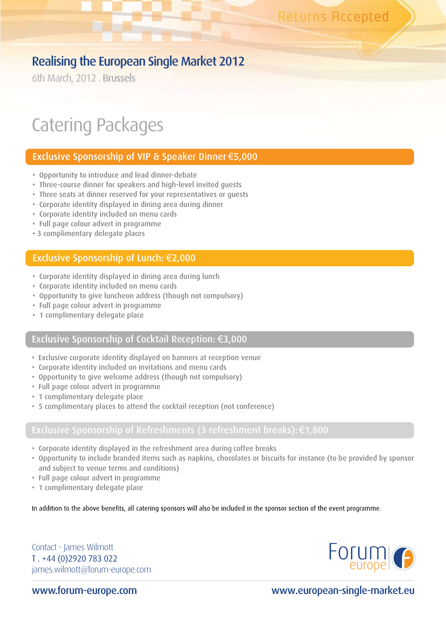6th March, 2012 . Brussels

# Catering Packages

## Exclusive Sponsorship of VIP & Speaker Dinner €5,000

- Opportunity to introduce and lead dinner-debate
- Three-course dinner for speakers and high-level invited guests
- Three seats at dinner reserved for your representatives or guests
- Corporate identity displayed in dining area during dinner
- Corporate identity included on menu cards
- Full page colour advert in programme
- 3 complimentary delegate places

### Exclusive Sponsorship of Lunch: €2,000

- Corporate identity displayed in dining area during lunch
- Corporate identity included on menu cards
- Opportunity to give luncheon address (though not compulsory)
- Full page colour advert in programme
- 1 complimentary delegate place

### Exclusive Sponsorship of Cocktail Reception: €3,000

- Exclusive corporate identity displayed on banners at reception venue
- Corporate identity included on invitations and menu cards
- Opportunity to give welcome address (though not compulsory)
- Full page colour advert in programme
- 1 complimentary delegate place
- 5 complimentary places to attend the cocktail reception (not conference)

- Corporate identity displayed in the refreshment area during coffee breaks
- Opportunity to include branded items such as napkins, chocolates or biscuits for instance (to be provided by sponsor and subject to venue terms and conditions)
- Full page colour advert in programme
- 1 complimentary delegate place

In addition to the above benefits, all catering sponsors will also be included in the sponsor section of the event programme.

Contact - James Wilmott T . +44 (0)2920 783 022 james.wilmott@forum-europe.com



www.forum-europe.com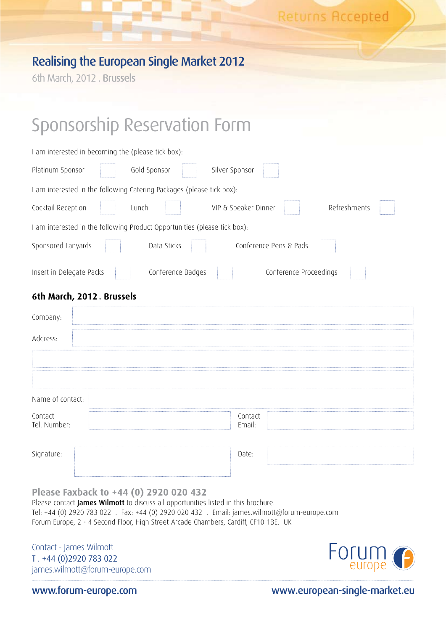6th March, 2012 . Brussels

# Sponsorship Reservation Form

| I am interested in becoming the (please tick box):                        |
|---------------------------------------------------------------------------|
| Platinum Sponsor<br>Gold Sponsor<br>Silver Sponsor                        |
| I am interested in the following Catering Packages (please tick box):     |
| Refreshments<br>Cocktail Reception<br>VIP & Speaker Dinner<br>Lunch       |
| I am interested in the following Product Opportunities (please tick box): |
| Sponsored Lanyards<br>Data Sticks<br>Conference Pens & Pads               |
| Conference Badges<br>Insert in Delegate Packs<br>Conference Proceedings   |
| 6th March, 2012. Brussels                                                 |
| Company:                                                                  |
| Address:                                                                  |
|                                                                           |
|                                                                           |
| Name of contact:                                                          |
| Contact<br>Contact<br>Tel. Number:<br>Email:                              |
| Signature:<br>Date:                                                       |

**Please Faxback to +44 (0) 2920 020 432**

Please contact James Wilmott to discuss all opportunities listed in this brochure. Tel: +44 (0) 2920 783 022 . Fax: +44 (0) 2920 020 432 . Email: james.wilmott@forum-europe.com Forum Europe, 2 - 4 Second Floor, High Street Arcade Chambers, Cardiff, CF10 1BE. UK

Contact - James Wilmott T . +44 (0)2920 783 022 james.wilmott@forum-europe.com



www.forum-europe.com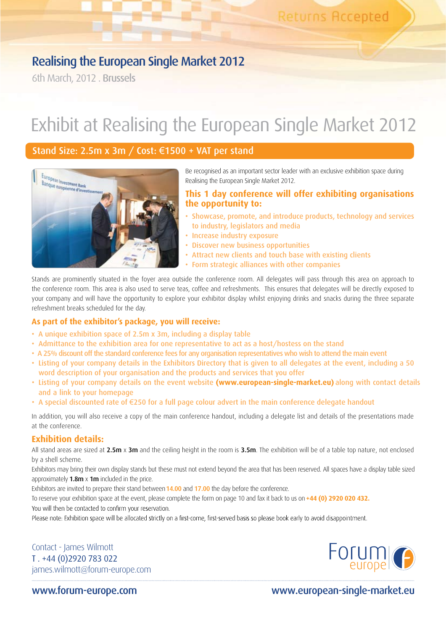6th March, 2012 . Brussels

# Exhibit at Realising the European Single Market 2012

## Stand Size: 2.5m x 3m / Cost: €1500 + VAT per stand



Be recognised as an important sector leader with an exclusive exhibition space during Realising the European Single Market 2012.

### **This 1 day conference will offer exhibiting organisations the opportunity to:**

- Showcase, promote, and introduce products, technology and services to industry, legislators and media
- Increase industry exposure
- Discover new business opportunities
- Attract new clients and touch base with existing clients
- Form strategic alliances with other companies

Stands are prominently situated in the foyer area outside the conference room. All delegates will pass through this area on approach to the conference room. This area is also used to serve teas, coffee and refreshments. This ensures that delegates will be directly exposed to your company and will have the opportunity to explore your exhibitor display whilst enjoying drinks and snacks during the three separate refreshment breaks scheduled for the day.

### **As part of the exhibitor's package, you will receive:**

- A unique exhibition space of 2.5m x 3m, including a display table
- Admittance to the exhibition area for one representative to act as a host/hostess on the stand
- A 25% discount off the standard conference fees for any organisation representatives who wish to attend the main event
- Listing of your company details in the Exhibitors Directory that is given to all delegates at the event, including a 50 word description of your organisation and the products and services that you offer
- Listing of your company details on the event website **(www.european-single-market.eu)** along with contact details and a link to your homepage
- A special discounted rate of €250 for a full page colour advert in the main conference delegate handout

In addition, you will also receive a copy of the main conference handout, including a delegate list and details of the presentations made at the conference.

### **Exhibition details:**

All stand areas are sized at  $2.5m \times 3m$  and the ceiling height in the room is  $3.5m$ . The exhibition will be of a table top nature, not enclosed by a shell scheme.

Exhibitors may bring their own display stands but these must not extend beyond the area that has been reserved. All spaces have a display table sized approximately  $1.8m \times 1m$  included in the price.

Exhibitors are invited to prepare their stand between 14.00 and 17.00 the day before the conference.

To reserve your exhibition space at the event, please complete the form on page 10 and fax it back to us on**+44 (0) 2920 020 432.** You will then be contacted to confirm your reservation.

Please note: Exhibition space will be allocated strictly on a first-come, first-served basis so please book early to avoid disappointment.

Contact - James Wilmott T . +44 (0)2920 783 022 james.wilmott@forum-europe.com



www.forum-europe.com